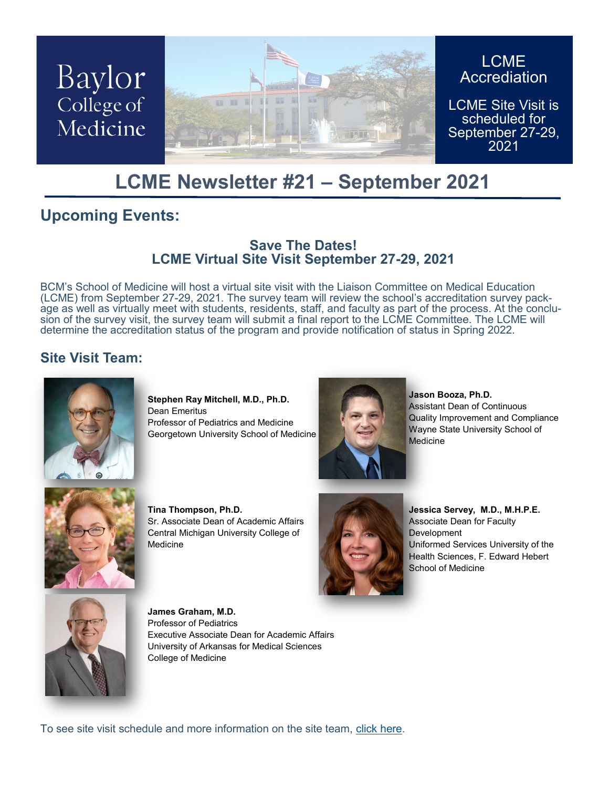

### **LCME Newsletter #21 – September 2021**

### **Upcoming Events:**

#### **Save The Dates! LCME Virtual Site Visit September 27-29, 2021**

BCM's School of Medicine will host a virtual site visit with the Liaison Committee on Medical Education (LCME) from September 27-29, 2021. The survey team will review the school's accreditation survey package as well as virtually meet with students, residents, staff, and faculty as part of the process. At the conclusion of the survey visit, the survey team will submit a final report to the LCME Committee. The LCME will determine the accreditation status of the program and provide notification of status in Spring 2022.

#### **Site Visit Team:**



**Stephen Ray Mitchell, M.D., Ph.D.** Dean Emeritus Professor of Pediatrics and Medicine Georgetown University School of Medicine



**Jason Booza, Ph.D.**  Assistant Dean of Continuous Quality Improvement and Compliance Wayne State University School of Medicine



**Tina Thompson, Ph.D.**  Sr. Associate Dean of Academic Affairs Central Michigan University College of Medicine



**Jessica Servey, M.D., M.H.P.E.**  Associate Dean for Faculty **Development** Uniformed Services University of the Health Sciences, F. Edward Hebert School of Medicine



**James Graham, M.D.**  Professor of Pediatrics Executive Associate Dean for Academic Affairs University of Arkansas for Medical Sciences College of Medicine

To see site visit schedule and more information on the site team, [click here.](https://www.bcm.edu/education/school-of-medicine/m-d-program/lcme-accreditation)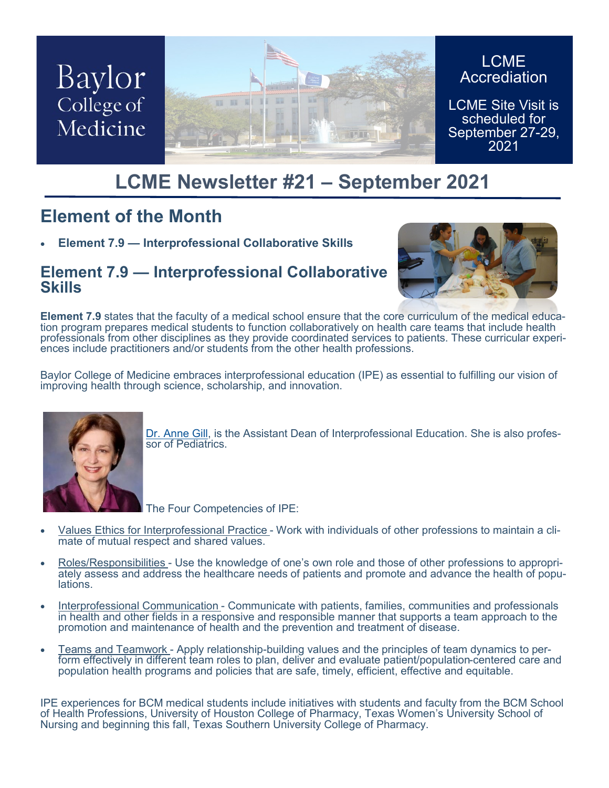

## **LCME Newsletter #21 – September 2021**

### **Element of the Month**

• **Element 7.9 — Interprofessional Collaborative Skills**

#### **Element 7.9 — Interprofessional Collaborative Skills**



**Element 7.9** states that the faculty of a medical school ensure that the core curriculum of the medical education program prepares medical students to function collaboratively on health care teams that include health professionals from other disciplines as they provide coordinated services to patients. These curricular experiences include practitioners and/or students from the other health professions.

Baylor College of Medicine embraces interprofessional education (IPE) as essential to fulfilling our vision of improving health through science, scholarship, and innovation.



[Dr. Anne Gill,](https://www.bcm.edu/people-search/anne-gill-22034) is the Assistant Dean of Interprofessional Education. She is also professor of Pediatrics.

The Four Competencies of IPE:

- Values Ethics for Interprofessional Practice Work with individuals of other professions to maintain a climate of mutual respect and shared values.
- Roles/Responsibilities Use the knowledge of one's own role and those of other professions to appropriately assess and address the healthcare needs of patients and promote and advance the health of populations.
- Interprofessional Communication Communicate with patients, families, communities and professionals in health and other fields in a responsive and responsible manner that supports a team approach to the promotion and maintenance of health and the prevention and treatment of disease.
- Teams and Teamwork Apply relationship-building values and the principles of team dynamics to perform effectively in different team roles to plan, deliver and evaluate patient/population-centered care and population health programs and policies that are safe, timely, efficient, effective and equitable.

IPE experiences for BCM medical students include initiatives with students and faculty from the BCM School of Health Professions, University of Houston College of Pharmacy, Texas Women's University School of Nursing and beginning this fall, Texas Southern University College of Pharmacy.